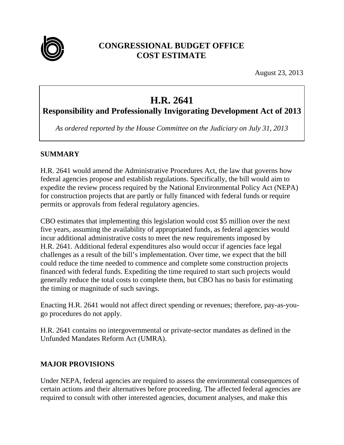

# **CONGRESSIONAL BUDGET OFFICE COST ESTIMATE**

August 23, 2013

# **H.R. 2641**

**Responsibility and Professionally Invigorating Development Act of 2013**

*As ordered reported by the House Committee on the Judiciary on July 31, 2013*

#### **SUMMARY**

H.R. 2641 would amend the Administrative Procedures Act, the law that governs how federal agencies propose and establish regulations. Specifically, the bill would aim to expedite the review process required by the National Environmental Policy Act (NEPA) for construction projects that are partly or fully financed with federal funds or require permits or approvals from federal regulatory agencies.

CBO estimates that implementing this legislation would cost \$5 million over the next five years, assuming the availability of appropriated funds, as federal agencies would incur additional administrative costs to meet the new requirements imposed by H.R. 2641. Additional federal expenditures also would occur if agencies face legal challenges as a result of the bill's implementation. Over time, we expect that the bill could reduce the time needed to commence and complete some construction projects financed with federal funds. Expediting the time required to start such projects would generally reduce the total costs to complete them, but CBO has no basis for estimating the timing or magnitude of such savings.

Enacting H.R. 2641 would not affect direct spending or revenues; therefore, pay-as-yougo procedures do not apply.

H.R. 2641 contains no intergovernmental or private-sector mandates as defined in the Unfunded Mandates Reform Act (UMRA).

#### **MAJOR PROVISIONS**

Under NEPA, federal agencies are required to assess the environmental consequences of certain actions and their alternatives before proceeding. The affected federal agencies are required to consult with other interested agencies, document analyses, and make this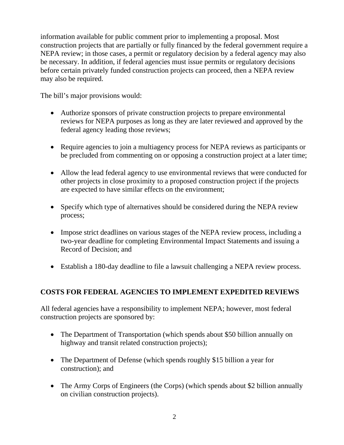information available for public comment prior to implementing a proposal. Most construction projects that are partially or fully financed by the federal government require a NEPA review; in those cases, a permit or regulatory decision by a federal agency may also be necessary. In addition, if federal agencies must issue permits or regulatory decisions before certain privately funded construction projects can proceed, then a NEPA review may also be required.

The bill's major provisions would:

- Authorize sponsors of private construction projects to prepare environmental reviews for NEPA purposes as long as they are later reviewed and approved by the federal agency leading those reviews;
- Require agencies to join a multiagency process for NEPA reviews as participants or be precluded from commenting on or opposing a construction project at a later time;
- Allow the lead federal agency to use environmental reviews that were conducted for other projects in close proximity to a proposed construction project if the projects are expected to have similar effects on the environment;
- Specify which type of alternatives should be considered during the NEPA review process;
- Impose strict deadlines on various stages of the NEPA review process, including a two-year deadline for completing Environmental Impact Statements and issuing a Record of Decision; and
- Establish a 180-day deadline to file a lawsuit challenging a NEPA review process.

## **COSTS FOR FEDERAL AGENCIES TO IMPLEMENT EXPEDITED REVIEWS**

All federal agencies have a responsibility to implement NEPA; however, most federal construction projects are sponsored by:

- The Department of Transportation (which spends about \$50 billion annually on highway and transit related construction projects);
- The Department of Defense (which spends roughly \$15 billion a year for construction); and
- The Army Corps of Engineers (the Corps) (which spends about \$2 billion annually on civilian construction projects).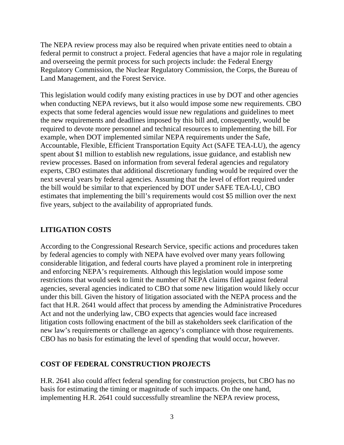The NEPA review process may also be required when private entities need to obtain a federal permit to construct a project. Federal agencies that have a major role in regulating and overseeing the permit process for such projects include: the Federal Energy Regulatory Commission, the Nuclear Regulatory Commission, the Corps, the Bureau of Land Management, and the Forest Service.

This legislation would codify many existing practices in use by DOT and other agencies when conducting NEPA reviews, but it also would impose some new requirements. CBO expects that some federal agencies would issue new regulations and guidelines to meet the new requirements and deadlines imposed by this bill and, consequently, would be required to devote more personnel and technical resources to implementing the bill. For example, when DOT implemented similar NEPA requirements under the Safe, Accountable, Flexible, Efficient Transportation Equity Act (SAFE TEA-LU), the agency spent about \$1 million to establish new regulations, issue guidance, and establish new review processes. Based on information from several federal agencies and regulatory experts, CBO estimates that additional discretionary funding would be required over the next several years by federal agencies. Assuming that the level of effort required under the bill would be similar to that experienced by DOT under SAFE TEA-LU, CBO estimates that implementing the bill's requirements would cost \$5 million over the next five years, subject to the availability of appropriated funds.

#### **LITIGATION COSTS**

According to the Congressional Research Service, specific actions and procedures taken by federal agencies to comply with NEPA have evolved over many years following considerable litigation, and federal courts have played a prominent role in interpreting and enforcing NEPA's requirements. Although this legislation would impose some restrictions that would seek to limit the number of NEPA claims filed against federal agencies, several agencies indicated to CBO that some new litigation would likely occur under this bill. Given the history of litigation associated with the NEPA process and the fact that H.R. 2641 would affect that process by amending the Administrative Procedures Act and not the underlying law, CBO expects that agencies would face increased litigation costs following enactment of the bill as stakeholders seek clarification of the new law's requirements or challenge an agency's compliance with those requirements. CBO has no basis for estimating the level of spending that would occur, however.

#### **COST OF FEDERAL CONSTRUCTION PROJECTS**

H.R. 2641 also could affect federal spending for construction projects, but CBO has no basis for estimating the timing or magnitude of such impacts. On the one hand, implementing H.R. 2641 could successfully streamline the NEPA review process,